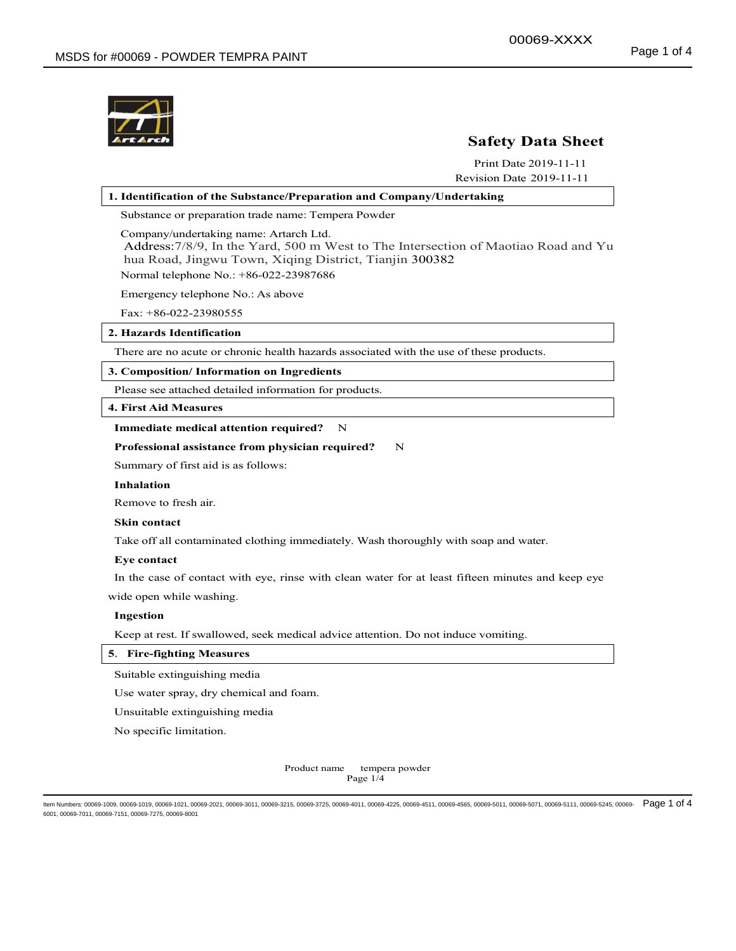

# Safety Data Sheet

Print Date 2019-11-11 Revision Date 2019-11-11

# 1. Identification of the Substance/Preparation and Company/Undertaking Substance or preparation trade name: Tempera Powder Company/undertaking name: Artarch Ltd. Address:7/8/9, In the Yard, 500 m West to The Intersection of Maotiao Road and Yu hua Road, Jingwu Town, Xiqing District, Tianjin 300382 Normal telephone No.: +86-022-23987686

Emergency telephone No.: As above

Fax: +86-022-23980555

2. Hazards Identification

There are no acute or chronic health hazards associated with the use of these products.

### 3. Composition/ Information on Ingredients

Please see attached detailed information for products.

4. First Aid Measures

### Immediate medical attention required? N

#### Professional assistance from physician required? N

Summary of first aid is as follows:

#### Inhalation

Remove to fresh air.

### Skin contact

Take off all contaminated clothing immediately. Wash thoroughly with soap and water.

#### Eye contact

In the case of contact with eye, rinse with clean water for at least fifteen minutes and keep eye wide open while washing.

#### Ingestion

Keep at rest. If swallowed, seek medical advice attention. Do not induce vomiting.

### 5. Fire-fighting Measures

Suitable extinguishing media

Use water spray, dry chemical and foam.

Unsuitable extinguishing media

No specific limitation.

Product name tempera powder Page 1/4

ltem Numbers: 00069-1009, 00069-1019, 00069-1021, 00069-2021, 00069-3011, 00069-3215, 00069-4725, 00069-4255, 00069-4511, 00069-4565, 00069-5011, 00069-5071, 00069-5111, 00069-5111, 00069-5245, 00069-5245, 00069-5011, 0006 6001, 00069-7011, 00069-7151, 00069-7275, 00069-8001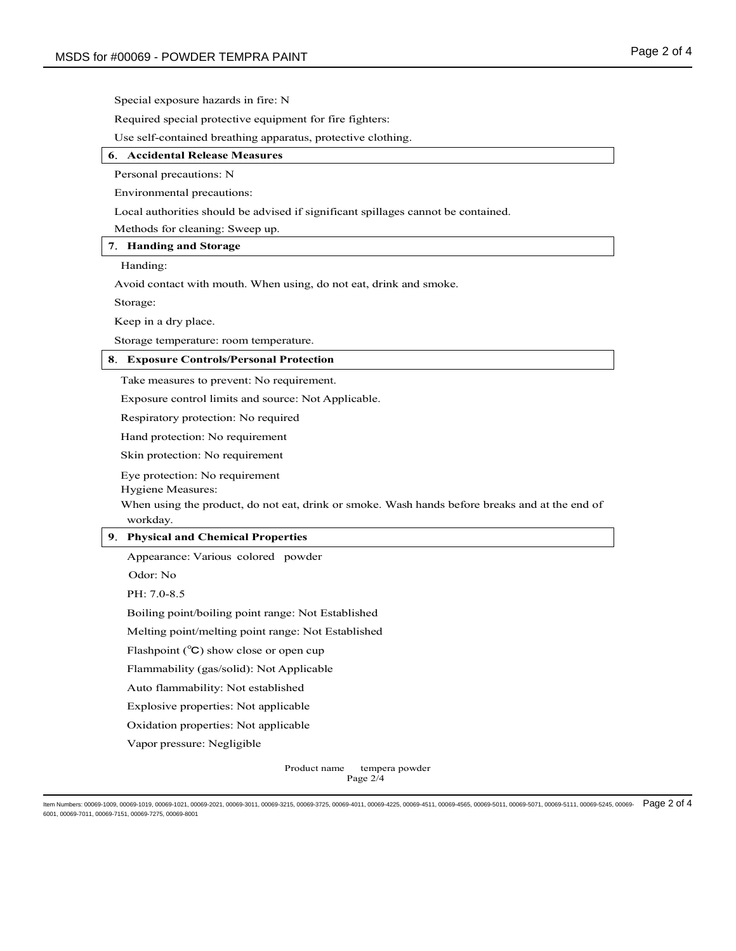Special exposure hazards in fire: N

Required special protective equipment for fire fighters:

Use self-contained breathing apparatus, protective clothing.

### 6.Accidental Release Measures

Personal precautions: N

Environmental precautions:

Local authorities should be advised if significant spillages cannot be contained.

Methods for cleaning: Sweep up.

## 7. Handing and Storage

Handing:

Avoid contact with mouth. When using, do not eat, drink and smoke.

Storage:

Keep in a dry place.

Storage temperature: room temperature.

### 8.Exposure Controls/Personal Protection

Take measures to prevent: No requirement.

Exposure control limits and source: Not Applicable.

Respiratory protection: No required

Hand protection: No requirement

Skin protection: No requirement

Eye protection: No requirement

Hygiene Measures:

When using the product, do not eat, drink or smoke. Wash hands before breaks and at the end of workday.

## 9.Physical and Chemical Properties

Appearance: Various colored powder

Odor: No

PH: 7.0-8.5

Boiling point/boiling point range: Not Established

Melting point/melting point range: Not Established

Flashpoint (℃) show close or open cup

Flammability (gas/solid): Not Applicable

Auto flammability: Not established

Explosive properties: Not applicable

Oxidation properties: Not applicable

Vapor pressure: Negligible

Product name tempera powder Page 2/4

ltem Numbers: 00069-1009, 00069-1019, 00069-1021, 00069-2021, 00069-3011, 00069-3215, 00069-4011, 00069-4225, 00069-4511, 00069-4565, 00069-56011, 00069-5071, 00069-5111, 00069-5111, 00069-5245, 00069-5245, 00069-5011, 000 6001, 00069-7011, 00069-7151, 00069-7275, 00069-8001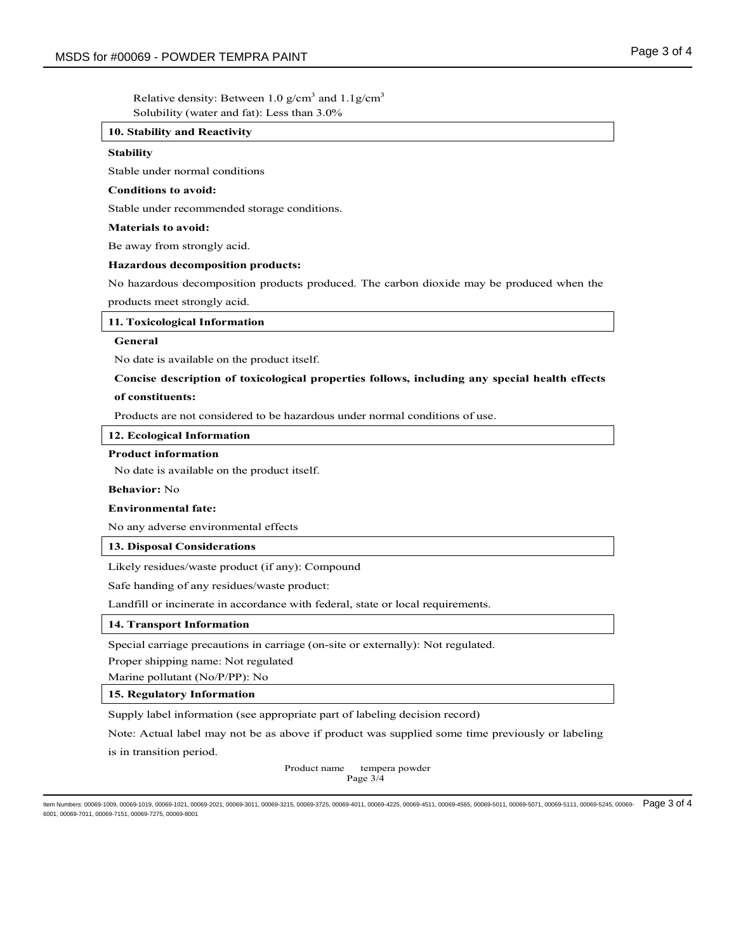Relative density: Between 1.0  $g/cm<sup>3</sup>$  and 1.1 $g/cm<sup>3</sup>$ Solubility (water and fat): Less than 3.0%

### 10. Stability and Reactivity

#### **Stability**

Stable under normal conditions

### Conditions to avoid:

Stable under recommended storage conditions.

#### Materials to avoid:

Be away from strongly acid.

#### Hazardous decomposition products:

No hazardous decomposition products produced. The carbon dioxide may be produced when the products meet strongly acid.

#### 11. Toxicological Information

## General

No date is available on the product itself.

### Concise description of toxicological properties follows, including any special health effects

#### of constituents:

Products are not considered to be hazardous under normal conditions of use.

### 12. Ecological Information

### Product information

No date is available on the product itself.

# Behavior: No

## Environmental fate:

No any adverse environmental effects

### 13. Disposal Considerations

Likely residues/waste product (if any): Compound

Safe handing of any residues/waste product:

Landfill or incinerate in accordance with federal, state or local requirements.

### 14. Transport Information

Special carriage precautions in carriage (on-site or externally): Not regulated.

Proper shipping name: Not regulated

Marine pollutant (No/P/PP): No

### 15. Regulatory Information

Supply label information (see appropriate part of labeling decision record)

Note: Actual label may not be as above if product was supplied some time previously or labeling

is in transition period.

Product name tempera powder Page 3/4

ltem Numbers: 00069-1009, 00069-1019, 00069-1021, 00069-2021, 00069-3011, 00069-3215, 00069-4011, 00069-4225, 00069-4511, 00069-4565, 00069-5011, 00069-5071, 00069-5111, 00069-5111, 00069-5245, 00069-5245, 00069-5011, 0006 6001, 00069-7011, 00069-7151, 00069-7275, 00069-8001